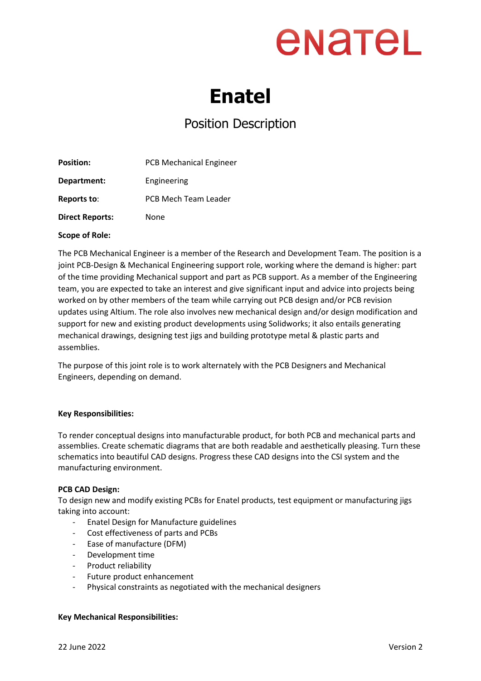## enatel

### **Enatel**

### Position Description

| <b>Position:</b>       | <b>PCB Mechanical Engineer</b> |
|------------------------|--------------------------------|
| Department:            | Engineering                    |
| Reports to:            | PCB Mech Team Leader           |
| <b>Direct Reports:</b> | None                           |

#### **Scope of Role:**

The PCB Mechanical Engineer is a member of the Research and Development Team. The position is a joint PCB-Design & Mechanical Engineering support role, working where the demand is higher: part of the time providing Mechanical support and part as PCB support. As a member of the Engineering team, you are expected to take an interest and give significant input and advice into projects being worked on by other members of the team while carrying out PCB design and/or PCB revision updates using Altium. The role also involves new mechanical design and/or design modification and support for new and existing product developments using Solidworks; it also entails generating mechanical drawings, designing test jigs and building prototype metal & plastic parts and assemblies.

The purpose of this joint role is to work alternately with the PCB Designers and Mechanical Engineers, depending on demand.

#### **Key Responsibilities:**

To render conceptual designs into manufacturable product, for both PCB and mechanical parts and assemblies. Create schematic diagrams that are both readable and aesthetically pleasing. Turn these schematics into beautiful CAD designs. Progress these CAD designs into the CSI system and the manufacturing environment.

#### **PCB CAD Design:**

To design new and modify existing PCBs for Enatel products, test equipment or manufacturing jigs taking into account:

- Enatel Design for Manufacture guidelines
- Cost effectiveness of parts and PCBs
- Ease of manufacture (DFM)
- Development time
- Product reliability
- Future product enhancement
- Physical constraints as negotiated with the mechanical designers

#### **Key Mechanical Responsibilities:**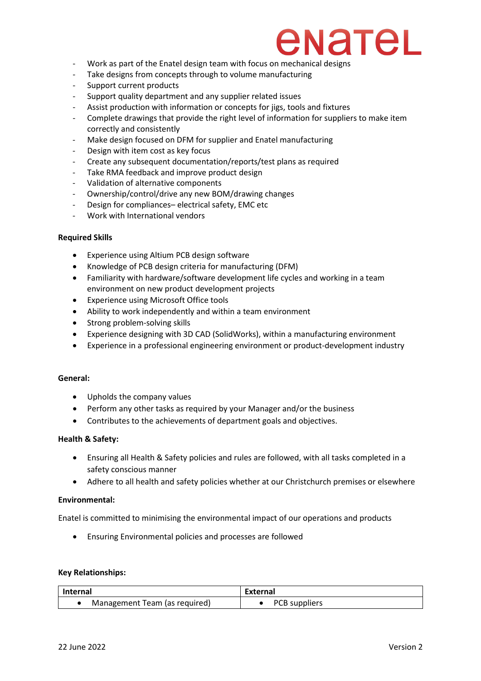### NateL

- Work as part of the Enatel design team with focus on mechanical designs
- Take designs from concepts through to volume manufacturing
- Support current products
- Support quality department and any supplier related issues
- Assist production with information or concepts for jigs, tools and fixtures
- Complete drawings that provide the right level of information for suppliers to make item correctly and consistently
- Make design focused on DFM for supplier and Enatel manufacturing
- Design with item cost as key focus
- Create any subsequent documentation/reports/test plans as required
- Take RMA feedback and improve product design
- Validation of alternative components
- Ownership/control/drive any new BOM/drawing changes
- Design for compliances– electrical safety, EMC etc
- Work with International vendors

#### **Required Skills**

- Experience using Altium PCB design software
- Knowledge of PCB design criteria for manufacturing (DFM)
- Familiarity with hardware/software development life cycles and working in a team environment on new product development projects
- Experience using Microsoft Office tools
- Ability to work independently and within a team environment
- Strong problem-solving skills
- Experience designing with 3D CAD (SolidWorks), within a manufacturing environment
- Experience in a professional engineering environment or product-development industry

#### **General:**

- Upholds the company values
- Perform any other tasks as required by your Manager and/or the business
- Contributes to the achievements of department goals and objectives.

#### **Health & Safety:**

- Ensuring all Health & Safety policies and rules are followed, with all tasks completed in a safety conscious manner
- Adhere to all health and safety policies whether at our Christchurch premises or elsewhere

#### **Environmental:**

Enatel is committed to minimising the environmental impact of our operations and products

• Ensuring Environmental policies and processes are followed

#### **Key Relationships:**

| Internal                      | External        |
|-------------------------------|-----------------|
| Management Team (as required) | • PCB suppliers |